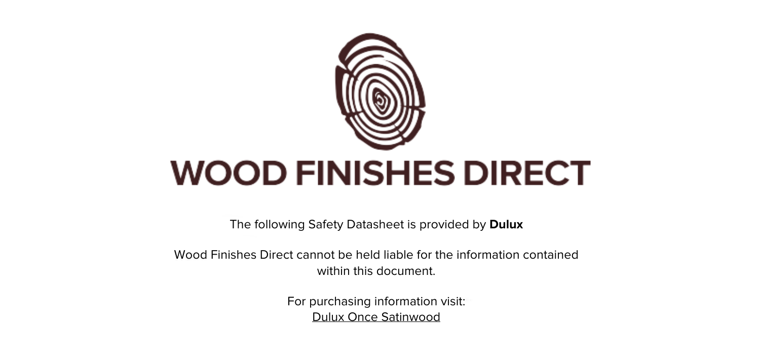

The following Safety Datasheet is provided by **Dulux**

Wood Finishes Direct cannot be held liable for the information contained within this document

> For purchasing information visit: [Dulux Once Satinwood](https://www.wood-finishes-direct.com/product/dulux-once-satinwood)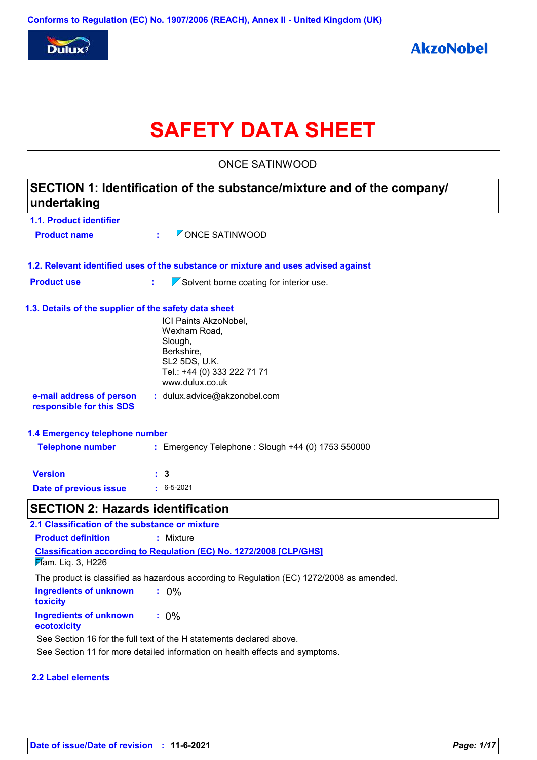

# **SAFETY DATA SHEET**

ONCE SATINWOOD

| undertaking                                           | SECTION 1: Identification of the substance/mixture and of the company/                                                            |
|-------------------------------------------------------|-----------------------------------------------------------------------------------------------------------------------------------|
| 1.1. Product identifier                               |                                                                                                                                   |
| <b>Product name</b>                                   | ONCE SATINWOOD<br>÷.                                                                                                              |
|                                                       | 1.2. Relevant identified uses of the substance or mixture and uses advised against                                                |
| <b>Product use</b>                                    | $\sqrt{\ }$ Solvent borne coating for interior use.<br>÷.                                                                         |
| 1.3. Details of the supplier of the safety data sheet |                                                                                                                                   |
|                                                       | ICI Paints AkzoNobel,<br>Wexham Road,<br>Slough,<br>Berkshire,<br>SL2 5DS, U.K.<br>Tel.: +44 (0) 333 222 71 71<br>www.dulux.co.uk |
| e-mail address of person<br>responsible for this SDS  | : dulux.advice@akzonobel.com                                                                                                      |
| 1.4 Emergency telephone number                        |                                                                                                                                   |
| <b>Telephone number</b>                               | : Emergency Telephone : Slough +44 (0) 1753 550000                                                                                |
| <b>Version</b>                                        | : 3                                                                                                                               |
| Date of previous issue                                | $: 6 - 5 - 2021$                                                                                                                  |
| <b>SECTION 2: Hazards identification</b>              |                                                                                                                                   |
| 2.1 Classification of the substance or mixture        |                                                                                                                                   |
| <b>Product definition</b>                             | : Mixture                                                                                                                         |
| Flam. Liq. 3, H226                                    | <b>Classification according to Regulation (EC) No. 1272/2008 [CLP/GHS]</b>                                                        |
|                                                       | The product is classified as hazardous according to Regulation (EC) 1272/2008 as amended.                                         |

| Ingredients of unknown<br>toxicity    | $: 0\%$ |  |
|---------------------------------------|---------|--|
| Ingredients of unknown<br>ecotoxicity | $: 0\%$ |  |

See Section 16 for the full text of the H statements declared above.

See Section 11 for more detailed information on health effects and symptoms.

### **2.2 Label elements**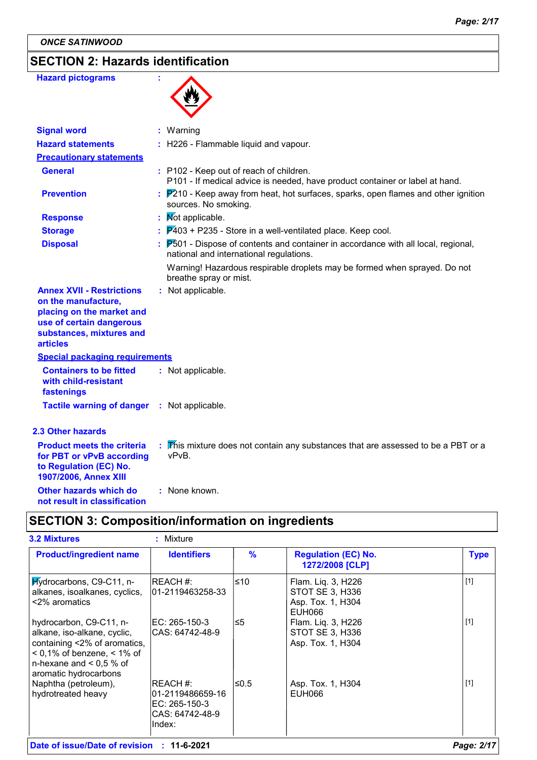*ONCE SATINWOOD*

## **SECTION 2: Hazards identification**

| <b>Hazard pictograms</b>                                                                                                                                        |                                                                                                                                      |
|-----------------------------------------------------------------------------------------------------------------------------------------------------------------|--------------------------------------------------------------------------------------------------------------------------------------|
| <b>Signal word</b>                                                                                                                                              | : Warning                                                                                                                            |
| <b>Hazard statements</b>                                                                                                                                        | : H226 - Flammable liquid and vapour.                                                                                                |
| <b>Precautionary statements</b>                                                                                                                                 |                                                                                                                                      |
| <b>General</b>                                                                                                                                                  | : P102 - Keep out of reach of children.<br>P101 - If medical advice is needed, have product container or label at hand.              |
| <b>Prevention</b>                                                                                                                                               | $\frac{1}{2}$ $\overline{P}$ 210 - Keep away from heat, hot surfaces, sparks, open flames and other ignition<br>sources. No smoking. |
| <b>Response</b>                                                                                                                                                 | : Mot applicable.                                                                                                                    |
| <b>Storage</b>                                                                                                                                                  | $\overline{P}403$ + P235 - Store in a well-ventilated place. Keep cool.                                                              |
| <b>Disposal</b>                                                                                                                                                 | : P501 - Dispose of contents and container in accordance with all local, regional,<br>national and international regulations.        |
|                                                                                                                                                                 | Warning! Hazardous respirable droplets may be formed when sprayed. Do not<br>breathe spray or mist.                                  |
| <b>Annex XVII - Restrictions</b><br>on the manufacture,<br>placing on the market and<br>use of certain dangerous<br>substances, mixtures and<br><b>articles</b> | : Not applicable.                                                                                                                    |
| <b>Special packaging requirements</b>                                                                                                                           |                                                                                                                                      |
| <b>Containers to be fitted</b><br>with child-resistant<br>fastenings                                                                                            | : Not applicable.                                                                                                                    |
| <b>Tactile warning of danger</b>                                                                                                                                | : Not applicable.                                                                                                                    |
| 2.3 Other hazards                                                                                                                                               |                                                                                                                                      |
| <b>Product meets the criteria</b><br>for PBT or vPvB according<br>to Regulation (EC) No.<br>1907/2006, Annex XIII                                               | This mixture does not contain any substances that are assessed to be a PBT or a<br>vPvB.                                             |
| Other hazards which do<br>not result in classification                                                                                                          | : None known.                                                                                                                        |

## **SECTION 3: Composition/information on ingredients**

| <b>3.2 Mixtures</b>                                                                                                                                                              | Mixture<br>t.                                                              |               |                                                                      |             |
|----------------------------------------------------------------------------------------------------------------------------------------------------------------------------------|----------------------------------------------------------------------------|---------------|----------------------------------------------------------------------|-------------|
| <b>Product/ingredient name</b>                                                                                                                                                   | <b>Identifiers</b>                                                         | $\frac{9}{6}$ | <b>Regulation (EC) No.</b><br>1272/2008 [CLP]                        | <b>Type</b> |
| Hydrocarbons, C9-C11, n-<br>alkanes, isoalkanes, cyclics,<br><2% aromatics                                                                                                       | <b>REACH #:</b><br>l01-2119463258-33                                       | l≤10          | Flam. Liq. 3, H226<br>STOT SE 3, H336<br>Asp. Tox. 1, H304<br>EUH066 | $[1]$       |
| hydrocarbon, C9-C11, n-<br>alkane, iso-alkane, cyclic,<br>containing <2% of aromatics,<br>$< 0.1\%$ of benzene, $< 1\%$ of<br>n-hexane and $< 0.5$ % of<br>aromatic hydrocarbons | IEC: 265-150-3<br>ICAS: 64742-48-9                                         | l≤5           | Flam. Liq. 3, H226<br>STOT SE 3, H336<br>Asp. Tox. 1, H304           | $[1]$       |
| Naphtha (petroleum),<br>hydrotreated heavy                                                                                                                                       | REACH #:<br>01-2119486659-16<br>EC: 265-150-3<br>CAS: 64742-48-9<br>Index: | l≤0.5         | Asp. Tox. 1, H304<br><b>EUH066</b>                                   | $[1]$       |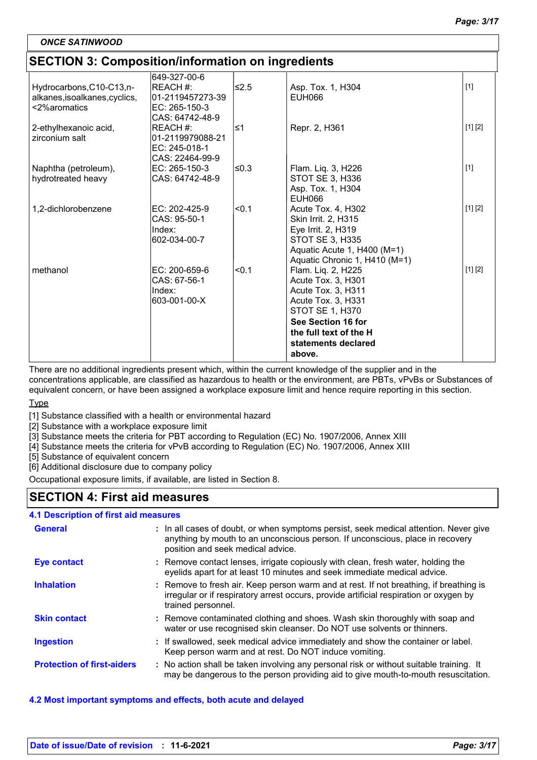*ONCE SATINWOOD*

## **SECTION 3: Composition/information on ingredients**

| <u>on or opinpoonnommuonnanon on maroaronto</u> |                   |        |                               |         |
|-------------------------------------------------|-------------------|--------|-------------------------------|---------|
|                                                 | 649-327-00-6      |        |                               |         |
| Hydrocarbons, C10-C13, n-                       | <b>IREACH #:</b>  | $≤2.5$ | Asp. Tox. 1, H304             | $[1]$   |
| alkanes, isoalkanes, cyclics,                   | 01-2119457273-39  |        | EUH066                        |         |
| <2%aromatics                                    | EC: 265-150-3     |        |                               |         |
|                                                 | CAS: 64742-48-9   |        |                               |         |
| 2-ethylhexanoic acid,                           | REACH #:          | l≤1    | Repr. 2, H361                 | [1] [2] |
| zirconium salt                                  | l01-2119979088-21 |        |                               |         |
|                                                 | EC: 245-018-1     |        |                               |         |
|                                                 | CAS: 22464-99-9   |        |                               |         |
| Naphtha (petroleum),                            | EC: 265-150-3     | ≤0.3   | Flam. Liq. 3, H226            | $[1]$   |
| hydrotreated heavy                              | CAS: 64742-48-9   |        | STOT SE 3, H336               |         |
|                                                 |                   |        | Asp. Tox. 1, H304             |         |
|                                                 |                   |        | <b>EUH066</b>                 |         |
| 1,2-dichlorobenzene                             | EC: 202-425-9     | < 0.1  | Acute Tox. 4, H302            | [1] [2] |
|                                                 | CAS: 95-50-1      |        | Skin Irrit. 2, H315           |         |
|                                                 | Index:            |        | Eye Irrit. 2, H319            |         |
|                                                 | 602-034-00-7      |        | STOT SE 3, H335               |         |
|                                                 |                   |        | Aquatic Acute 1, H400 (M=1)   |         |
|                                                 |                   |        | Aquatic Chronic 1, H410 (M=1) |         |
| methanol                                        | EC: 200-659-6     | < 0.1  | Flam. Liq. 2, H225            | [1] [2] |
|                                                 | CAS: 67-56-1      |        | Acute Tox. 3, H301            |         |
|                                                 | Index:            |        | Acute Tox. 3, H311            |         |
|                                                 | 603-001-00-X      |        | Acute Tox. 3, H331            |         |
|                                                 |                   |        | STOT SE 1, H370               |         |
|                                                 |                   |        | See Section 16 for            |         |
|                                                 |                   |        | the full text of the H        |         |
|                                                 |                   |        | statements declared           |         |
|                                                 |                   |        | above.                        |         |

There are no additional ingredients present which, within the current knowledge of the supplier and in the concentrations applicable, are classified as hazardous to health or the environment, are PBTs, vPvBs or Substances of equivalent concern, or have been assigned a workplace exposure limit and hence require reporting in this section.

**Type** 

[1] Substance classified with a health or environmental hazard

[2] Substance with a workplace exposure limit

[3] Substance meets the criteria for PBT according to Regulation (EC) No. 1907/2006, Annex XIII

[4] Substance meets the criteria for vPvB according to Regulation (EC) No. 1907/2006, Annex XIII

[5] Substance of equivalent concern

[6] Additional disclosure due to company policy

Occupational exposure limits, if available, are listed in Section 8.

## **SECTION 4: First aid measures**

### **4.1 Description of first aid measures**

| <b>General</b>                    | : In all cases of doubt, or when symptoms persist, seek medical attention. Never give<br>anything by mouth to an unconscious person. If unconscious, place in recovery<br>position and seek medical advice. |
|-----------------------------------|-------------------------------------------------------------------------------------------------------------------------------------------------------------------------------------------------------------|
| <b>Eye contact</b>                | : Remove contact lenses, irrigate copiously with clean, fresh water, holding the<br>eyelids apart for at least 10 minutes and seek immediate medical advice.                                                |
| <b>Inhalation</b>                 | : Remove to fresh air. Keep person warm and at rest. If not breathing, if breathing is<br>irregular or if respiratory arrest occurs, provide artificial respiration or oxygen by<br>trained personnel.      |
| <b>Skin contact</b>               | : Remove contaminated clothing and shoes. Wash skin thoroughly with soap and<br>water or use recognised skin cleanser. Do NOT use solvents or thinners.                                                     |
| <b>Ingestion</b>                  | : If swallowed, seek medical advice immediately and show the container or label.<br>Keep person warm and at rest. Do NOT induce vomiting.                                                                   |
| <b>Protection of first-aiders</b> | : No action shall be taken involving any personal risk or without suitable training. It<br>may be dangerous to the person providing aid to give mouth-to-mouth resuscitation.                               |

### **4.2 Most important symptoms and effects, both acute and delayed**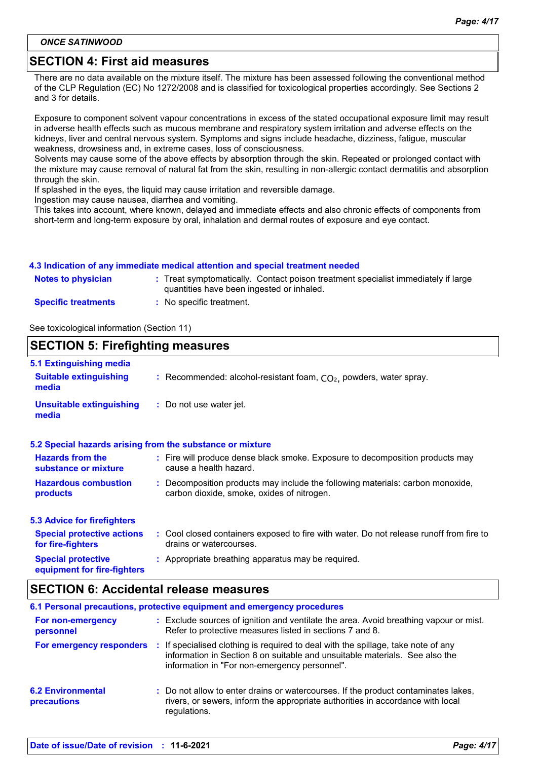### **SECTION 4: First aid measures**

There are no data available on the mixture itself. The mixture has been assessed following the conventional method of the CLP Regulation (EC) No 1272/2008 and is classified for toxicological properties accordingly. See Sections 2 and 3 for details.

Exposure to component solvent vapour concentrations in excess of the stated occupational exposure limit may result in adverse health effects such as mucous membrane and respiratory system irritation and adverse effects on the kidneys, liver and central nervous system. Symptoms and signs include headache, dizziness, fatigue, muscular weakness, drowsiness and, in extreme cases, loss of consciousness.

Solvents may cause some of the above effects by absorption through the skin. Repeated or prolonged contact with the mixture may cause removal of natural fat from the skin, resulting in non-allergic contact dermatitis and absorption through the skin.

If splashed in the eyes, the liquid may cause irritation and reversible damage.

Ingestion may cause nausea, diarrhea and vomiting.

This takes into account, where known, delayed and immediate effects and also chronic effects of components from short-term and long-term exposure by oral, inhalation and dermal routes of exposure and eye contact.

#### **4.3 Indication of any immediate medical attention and special treatment needed**

| <b>Notes to physician</b>  | : Treat symptomatically. Contact poison treatment specialist immediately if large<br>quantities have been ingested or inhaled. |
|----------------------------|--------------------------------------------------------------------------------------------------------------------------------|
| <b>Specific treatments</b> | : No specific treatment.                                                                                                       |

See toxicological information (Section 11)

### **SECTION 5: Firefighting measures**

| 5.1 Extinguishing media                                  |                                                                                                                              |
|----------------------------------------------------------|------------------------------------------------------------------------------------------------------------------------------|
| <b>Suitable extinguishing</b><br>media                   | : Recommended: alcohol-resistant foam, $CO2$ , powders, water spray.                                                         |
| <b>Unsuitable extinguishing</b><br>media                 | : Do not use water jet.                                                                                                      |
|                                                          | 5.2 Special hazards arising from the substance or mixture                                                                    |
| <b>Hazards from the</b><br>substance or mixture          | : Fire will produce dense black smoke. Exposure to decomposition products may<br>cause a health hazard.                      |
| <b>Hazardous combustion</b><br>products                  | : Decomposition products may include the following materials: carbon monoxide,<br>carbon dioxide, smoke, oxides of nitrogen. |
| <b>5.3 Advice for firefighters</b>                       |                                                                                                                              |
| <b>Special protective actions</b><br>for fire-fighters   | : Cool closed containers exposed to fire with water. Do not release runoff from fire to<br>drains or watercourses.           |
| <b>Special protective</b><br>equipment for fire-fighters | : Appropriate breathing apparatus may be required.                                                                           |

## **SECTION 6: Accidental release measures**

|                                                |          | 6.1 Personal precautions, protective equipment and emergency procedures                                                                                                                                         |
|------------------------------------------------|----------|-----------------------------------------------------------------------------------------------------------------------------------------------------------------------------------------------------------------|
| For non-emergency<br>personnel                 |          | : Exclude sources of ignition and ventilate the area. Avoid breathing vapour or mist.<br>Refer to protective measures listed in sections 7 and 8.                                                               |
| For emergency responders                       | <b>A</b> | If specialised clothing is required to deal with the spillage, take note of any<br>information in Section 8 on suitable and unsuitable materials. See also the<br>information in "For non-emergency personnel". |
| <b>6.2 Environmental</b><br><b>precautions</b> |          | : Do not allow to enter drains or watercourses. If the product contaminates lakes,<br>rivers, or sewers, inform the appropriate authorities in accordance with local<br>regulations.                            |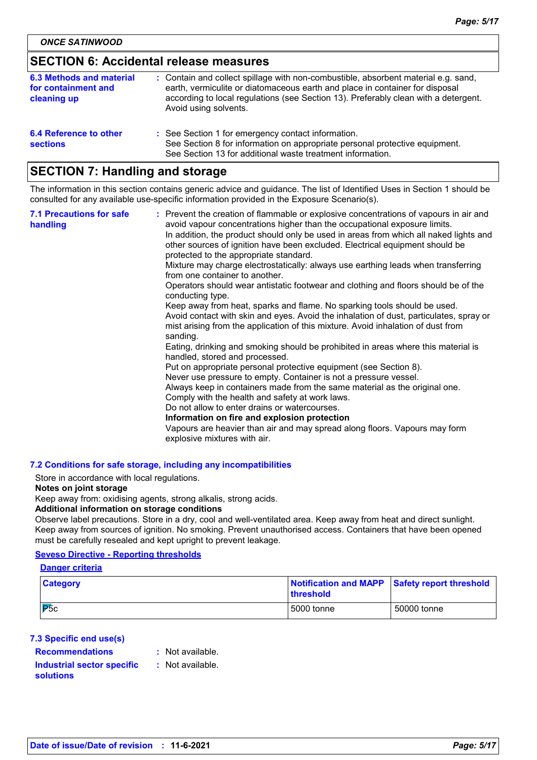### **SECTION 6: Accidental release measures**

| <b>6.3 Methods and material</b><br>for containment and<br>cleaning up | : Contain and collect spillage with non-combustible, absorbent material e.g. sand,<br>earth, vermiculite or diatomaceous earth and place in container for disposal<br>according to local regulations (see Section 13). Preferably clean with a detergent.<br>Avoid using solvents. |
|-----------------------------------------------------------------------|------------------------------------------------------------------------------------------------------------------------------------------------------------------------------------------------------------------------------------------------------------------------------------|
| 6.4 Reference to other<br><b>sections</b>                             | : See Section 1 for emergency contact information.<br>See Section 8 for information on appropriate personal protective equipment.<br>See Section 13 for additional waste treatment information.                                                                                    |

## **SECTION 7: Handling and storage**

The information in this section contains generic advice and guidance. The list of Identified Uses in Section 1 should be consulted for any available use-specific information provided in the Exposure Scenario(s).

| Eating, drinking and smoking should be prohibited in areas where this material is<br>handled, stored and processed.<br>Put on appropriate personal protective equipment (see Section 8).<br>Never use pressure to empty. Container is not a pressure vessel.<br>Always keep in containers made from the same material as the original one.<br>Comply with the health and safety at work laws.<br>Do not allow to enter drains or watercourses.<br>Information on fire and explosion protection<br>Vapours are heavier than air and may spread along floors. Vapours may form<br>explosive mixtures with air. | <b>7.1 Precautions for safe</b><br>handling | : Prevent the creation of flammable or explosive concentrations of vapours in air and<br>avoid vapour concentrations higher than the occupational exposure limits.<br>In addition, the product should only be used in areas from which all naked lights and<br>other sources of ignition have been excluded. Electrical equipment should be<br>protected to the appropriate standard.<br>Mixture may charge electrostatically: always use earthing leads when transferring<br>from one container to another.<br>Operators should wear antistatic footwear and clothing and floors should be of the<br>conducting type.<br>Keep away from heat, sparks and flame. No sparking tools should be used.<br>Avoid contact with skin and eyes. Avoid the inhalation of dust, particulates, spray or<br>mist arising from the application of this mixture. Avoid inhalation of dust from<br>sanding. |  |
|--------------------------------------------------------------------------------------------------------------------------------------------------------------------------------------------------------------------------------------------------------------------------------------------------------------------------------------------------------------------------------------------------------------------------------------------------------------------------------------------------------------------------------------------------------------------------------------------------------------|---------------------------------------------|----------------------------------------------------------------------------------------------------------------------------------------------------------------------------------------------------------------------------------------------------------------------------------------------------------------------------------------------------------------------------------------------------------------------------------------------------------------------------------------------------------------------------------------------------------------------------------------------------------------------------------------------------------------------------------------------------------------------------------------------------------------------------------------------------------------------------------------------------------------------------------------------|--|
|--------------------------------------------------------------------------------------------------------------------------------------------------------------------------------------------------------------------------------------------------------------------------------------------------------------------------------------------------------------------------------------------------------------------------------------------------------------------------------------------------------------------------------------------------------------------------------------------------------------|---------------------------------------------|----------------------------------------------------------------------------------------------------------------------------------------------------------------------------------------------------------------------------------------------------------------------------------------------------------------------------------------------------------------------------------------------------------------------------------------------------------------------------------------------------------------------------------------------------------------------------------------------------------------------------------------------------------------------------------------------------------------------------------------------------------------------------------------------------------------------------------------------------------------------------------------------|--|

### **7.2 Conditions for safe storage, including any incompatibilities**

Store in accordance with local regulations.

#### **Notes on joint storage**

Keep away from: oxidising agents, strong alkalis, strong acids.

#### **Additional information on storage conditions**

Observe label precautions. Store in a dry, cool and well-ventilated area. Keep away from heat and direct sunlight. Keep away from sources of ignition. No smoking. Prevent unauthorised access. Containers that have been opened must be carefully resealed and kept upright to prevent leakage.

### **Seveso Directive - Reporting thresholds**

### **Danger criteria**

| <b>Category</b> | Notification and MAPP Safety report threshold<br><b>Ithreshold</b> |             |
|-----------------|--------------------------------------------------------------------|-------------|
| $P_{\rm 5c}$    | 5000 tonne                                                         | 50000 tonne |

### **7.3 Specific end use(s)**

| <b>Recommendations</b>            | : Not available. |
|-----------------------------------|------------------|
| <b>Industrial sector specific</b> | : Not available. |
| <b>solutions</b>                  |                  |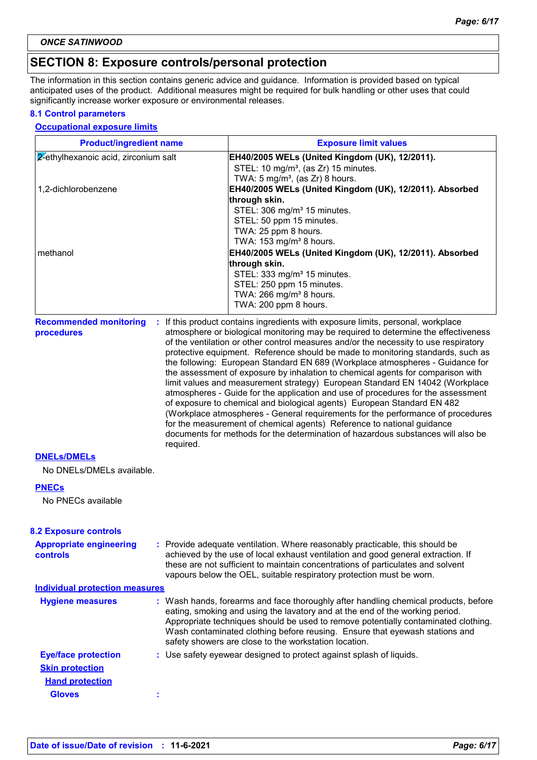## **SECTION 8: Exposure controls/personal protection**

The information in this section contains generic advice and guidance. Information is provided based on typical anticipated uses of the product. Additional measures might be required for bulk handling or other uses that could significantly increase worker exposure or environmental releases.

### **8.1 Control parameters**

#### **Occupational exposure limits**

| <b>Product/ingredient name</b>              |           | <b>Exposure limit values</b>                                                                                                                                                                                                                                                                                                                                                                                                                                                                                                                                                                                                                                                                                                                                                                                                                                                                                                                                                                                        |  |  |
|---------------------------------------------|-----------|---------------------------------------------------------------------------------------------------------------------------------------------------------------------------------------------------------------------------------------------------------------------------------------------------------------------------------------------------------------------------------------------------------------------------------------------------------------------------------------------------------------------------------------------------------------------------------------------------------------------------------------------------------------------------------------------------------------------------------------------------------------------------------------------------------------------------------------------------------------------------------------------------------------------------------------------------------------------------------------------------------------------|--|--|
| 2-ethylhexanoic acid, zirconium salt        |           | EH40/2005 WELs (United Kingdom (UK), 12/2011).<br>STEL: 10 mg/m <sup>3</sup> , (as Zr) 15 minutes.                                                                                                                                                                                                                                                                                                                                                                                                                                                                                                                                                                                                                                                                                                                                                                                                                                                                                                                  |  |  |
| 1,2-dichlorobenzene                         |           | TWA: $5 \text{ mg/m}^3$ , (as Zr) 8 hours.<br>EH40/2005 WELs (United Kingdom (UK), 12/2011). Absorbed<br>through skin.<br>STEL: 306 mg/m <sup>3</sup> 15 minutes.                                                                                                                                                                                                                                                                                                                                                                                                                                                                                                                                                                                                                                                                                                                                                                                                                                                   |  |  |
| methanol                                    |           | STEL: 50 ppm 15 minutes.<br>TWA: 25 ppm 8 hours.<br>TWA: 153 mg/m <sup>3</sup> 8 hours.<br>EH40/2005 WELs (United Kingdom (UK), 12/2011). Absorbed<br>through skin.<br>STEL: 333 mg/m <sup>3</sup> 15 minutes.<br>STEL: 250 ppm 15 minutes.<br>TWA: 266 mg/m <sup>3</sup> 8 hours.<br>TWA: 200 ppm 8 hours.                                                                                                                                                                                                                                                                                                                                                                                                                                                                                                                                                                                                                                                                                                         |  |  |
| <b>Recommended monitoring</b><br>procedures | required. | If this product contains ingredients with exposure limits, personal, workplace<br>atmosphere or biological monitoring may be required to determine the effectiveness<br>of the ventilation or other control measures and/or the necessity to use respiratory<br>protective equipment. Reference should be made to monitoring standards, such as<br>the following: European Standard EN 689 (Workplace atmospheres - Guidance for<br>the assessment of exposure by inhalation to chemical agents for comparison with<br>limit values and measurement strategy) European Standard EN 14042 (Workplace<br>atmospheres - Guide for the application and use of procedures for the assessment<br>of exposure to chemical and biological agents) European Standard EN 482<br>(Workplace atmospheres - General requirements for the performance of procedures<br>for the measurement of chemical agents) Reference to national guidance<br>documents for methods for the determination of hazardous substances will also be |  |  |
| <b>DNELS/DMELS</b>                          |           |                                                                                                                                                                                                                                                                                                                                                                                                                                                                                                                                                                                                                                                                                                                                                                                                                                                                                                                                                                                                                     |  |  |
| No DNELs/DMELs available.                   |           |                                                                                                                                                                                                                                                                                                                                                                                                                                                                                                                                                                                                                                                                                                                                                                                                                                                                                                                                                                                                                     |  |  |
| <b>PNECs</b><br>No PNECs available          |           |                                                                                                                                                                                                                                                                                                                                                                                                                                                                                                                                                                                                                                                                                                                                                                                                                                                                                                                                                                                                                     |  |  |
| <b>8.2 Exposure controls</b>                |           |                                                                                                                                                                                                                                                                                                                                                                                                                                                                                                                                                                                                                                                                                                                                                                                                                                                                                                                                                                                                                     |  |  |
| <b>Appropriate engineering</b><br>controls  |           | : Provide adequate ventilation. Where reasonably practicable, this should be<br>achieved by the use of local exhaust ventilation and good general extraction. If<br>these are not sufficient to maintain concentrations of particulates and solvent<br>vapours below the OEL, suitable respiratory protection must be worn.                                                                                                                                                                                                                                                                                                                                                                                                                                                                                                                                                                                                                                                                                         |  |  |
| <b>Individual protection measures</b>       |           |                                                                                                                                                                                                                                                                                                                                                                                                                                                                                                                                                                                                                                                                                                                                                                                                                                                                                                                                                                                                                     |  |  |
| <b>Hygiene measures</b>                     |           | : Wash hands, forearms and face thoroughly after handling chemical products, before<br>eating, smoking and using the lavatory and at the end of the working period.<br>Appropriate techniques should be used to remove potentially contaminated clothing.<br>Wash contaminated clothing before reusing. Ensure that eyewash stations and<br>safety showers are close to the workstation location.                                                                                                                                                                                                                                                                                                                                                                                                                                                                                                                                                                                                                   |  |  |
| <b>Eye/face protection</b>                  |           | : Use safety eyewear designed to protect against splash of liquids.                                                                                                                                                                                                                                                                                                                                                                                                                                                                                                                                                                                                                                                                                                                                                                                                                                                                                                                                                 |  |  |
| <b>Skin protection</b>                      |           |                                                                                                                                                                                                                                                                                                                                                                                                                                                                                                                                                                                                                                                                                                                                                                                                                                                                                                                                                                                                                     |  |  |
| <b>Hand protection</b>                      |           |                                                                                                                                                                                                                                                                                                                                                                                                                                                                                                                                                                                                                                                                                                                                                                                                                                                                                                                                                                                                                     |  |  |
| <b>Gloves</b>                               |           |                                                                                                                                                                                                                                                                                                                                                                                                                                                                                                                                                                                                                                                                                                                                                                                                                                                                                                                                                                                                                     |  |  |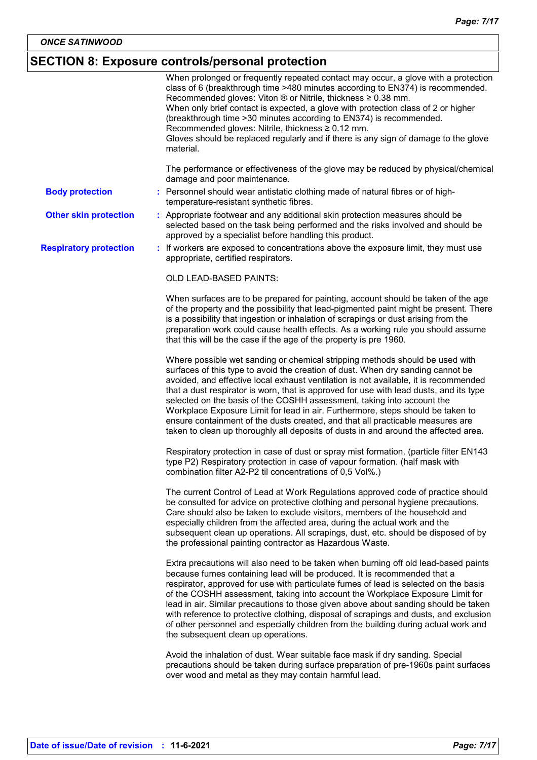## **SECTION 8: Exposure controls/personal protection**

|                               | class of 6 (breakthrough time >480 minutes according to EN374) is recommended.<br>Recommended gloves: Viton ® or Nitrile, thickness ≥ 0.38 mm.<br>When only brief contact is expected, a glove with protection class of 2 or higher<br>(breakthrough time > 30 minutes according to EN374) is recommended.<br>Recommended gloves: Nitrile, thickness $\geq 0.12$ mm.<br>Gloves should be replaced regularly and if there is any sign of damage to the glove<br>material.                                                                                                                                                                                                                |
|-------------------------------|-----------------------------------------------------------------------------------------------------------------------------------------------------------------------------------------------------------------------------------------------------------------------------------------------------------------------------------------------------------------------------------------------------------------------------------------------------------------------------------------------------------------------------------------------------------------------------------------------------------------------------------------------------------------------------------------|
|                               | The performance or effectiveness of the glove may be reduced by physical/chemical<br>damage and poor maintenance.                                                                                                                                                                                                                                                                                                                                                                                                                                                                                                                                                                       |
| <b>Body protection</b>        | : Personnel should wear antistatic clothing made of natural fibres or of high-<br>temperature-resistant synthetic fibres.                                                                                                                                                                                                                                                                                                                                                                                                                                                                                                                                                               |
| <b>Other skin protection</b>  | : Appropriate footwear and any additional skin protection measures should be<br>selected based on the task being performed and the risks involved and should be<br>approved by a specialist before handling this product.                                                                                                                                                                                                                                                                                                                                                                                                                                                               |
| <b>Respiratory protection</b> | : If workers are exposed to concentrations above the exposure limit, they must use<br>appropriate, certified respirators.                                                                                                                                                                                                                                                                                                                                                                                                                                                                                                                                                               |
|                               | <b>OLD LEAD-BASED PAINTS:</b>                                                                                                                                                                                                                                                                                                                                                                                                                                                                                                                                                                                                                                                           |
|                               | When surfaces are to be prepared for painting, account should be taken of the age<br>of the property and the possibility that lead-pigmented paint might be present. There<br>is a possibility that ingestion or inhalation of scrapings or dust arising from the<br>preparation work could cause health effects. As a working rule you should assume<br>that this will be the case if the age of the property is pre 1960.                                                                                                                                                                                                                                                             |
|                               | Where possible wet sanding or chemical stripping methods should be used with<br>surfaces of this type to avoid the creation of dust. When dry sanding cannot be<br>avoided, and effective local exhaust ventilation is not available, it is recommended<br>that a dust respirator is worn, that is approved for use with lead dusts, and its type<br>selected on the basis of the COSHH assessment, taking into account the<br>Workplace Exposure Limit for lead in air. Furthermore, steps should be taken to<br>ensure containment of the dusts created, and that all practicable measures are<br>taken to clean up thoroughly all deposits of dusts in and around the affected area. |
|                               | Respiratory protection in case of dust or spray mist formation. (particle filter EN143<br>type P2) Respiratory protection in case of vapour formation. (half mask with<br>combination filter A2-P2 til concentrations of 0,5 Vol%.)                                                                                                                                                                                                                                                                                                                                                                                                                                                     |
|                               | The current Control of Lead at Work Regulations approved code of practice should<br>be consulted for advice on protective clothing and personal hygiene precautions.<br>Care should also be taken to exclude visitors, members of the household and<br>especially children from the affected area, during the actual work and the<br>subsequent clean up operations. All scrapings, dust, etc. should be disposed of by<br>the professional painting contractor as Hazardous Waste.                                                                                                                                                                                                     |
|                               | Extra precautions will also need to be taken when burning off old lead-based paints<br>because fumes containing lead will be produced. It is recommended that a<br>respirator, approved for use with particulate fumes of lead is selected on the basis<br>of the COSHH assessment, taking into account the Workplace Exposure Limit for<br>lead in air. Similar precautions to those given above about sanding should be taken<br>with reference to protective clothing, disposal of scrapings and dusts, and exclusion<br>of other personnel and especially children from the building during actual work and<br>the subsequent clean up operations.                                  |
|                               | Avoid the inhalation of dust. Wear suitable face mask if dry sanding. Special<br>precautions should be taken during surface preparation of pre-1960s paint surfaces<br>over wood and metal as they may contain harmful lead.                                                                                                                                                                                                                                                                                                                                                                                                                                                            |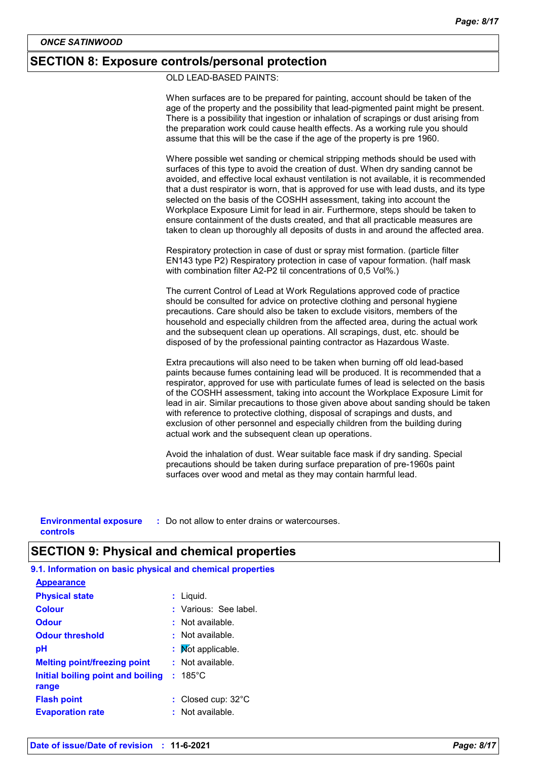### **SECTION 8: Exposure controls/personal protection**

OLD LEAD-BASED PAINTS:

When surfaces are to be prepared for painting, account should be taken of the age of the property and the possibility that lead-pigmented paint might be present. There is a possibility that ingestion or inhalation of scrapings or dust arising from the preparation work could cause health effects. As a working rule you should assume that this will be the case if the age of the property is pre 1960.

Where possible wet sanding or chemical stripping methods should be used with surfaces of this type to avoid the creation of dust. When dry sanding cannot be avoided, and effective local exhaust ventilation is not available, it is recommended that a dust respirator is worn, that is approved for use with lead dusts, and its type selected on the basis of the COSHH assessment, taking into account the Workplace Exposure Limit for lead in air. Furthermore, steps should be taken to ensure containment of the dusts created, and that all practicable measures are taken to clean up thoroughly all deposits of dusts in and around the affected area.

Respiratory protection in case of dust or spray mist formation. (particle filter EN143 type P2) Respiratory protection in case of vapour formation. (half mask with combination filter A2-P2 til concentrations of 0,5 Vol%.)

The current Control of Lead at Work Regulations approved code of practice should be consulted for advice on protective clothing and personal hygiene precautions. Care should also be taken to exclude visitors, members of the household and especially children from the affected area, during the actual work and the subsequent clean up operations. All scrapings, dust, etc. should be disposed of by the professional painting contractor as Hazardous Waste.

Extra precautions will also need to be taken when burning off old lead-based paints because fumes containing lead will be produced. It is recommended that a respirator, approved for use with particulate fumes of lead is selected on the basis of the COSHH assessment, taking into account the Workplace Exposure Limit for lead in air. Similar precautions to those given above about sanding should be taken with reference to protective clothing, disposal of scrapings and dusts, and exclusion of other personnel and especially children from the building during actual work and the subsequent clean up operations.

Avoid the inhalation of dust. Wear suitable face mask if dry sanding. Special precautions should be taken during surface preparation of pre-1960s paint surfaces over wood and metal as they may contain harmful lead.

**Environmental exposure : Do not allow to enter drains or watercourses. controls**

### **SECTION 9: Physical and chemical properties**

185°C **Initial boiling point and boiling : Physical state Melting point/freezing point range** Liquid. **: :** Not available. **Odour** : Not available. **pH Colour Evaporation rate Flash point**  $\qquad \qquad : \qquad \text{Closed cup: } 32^{\circ} \text{C}$ Not applicable. **: Odour threshold :** Various: See label. : Not available. **: 9.1. Information on basic physical and chemical properties Appearance**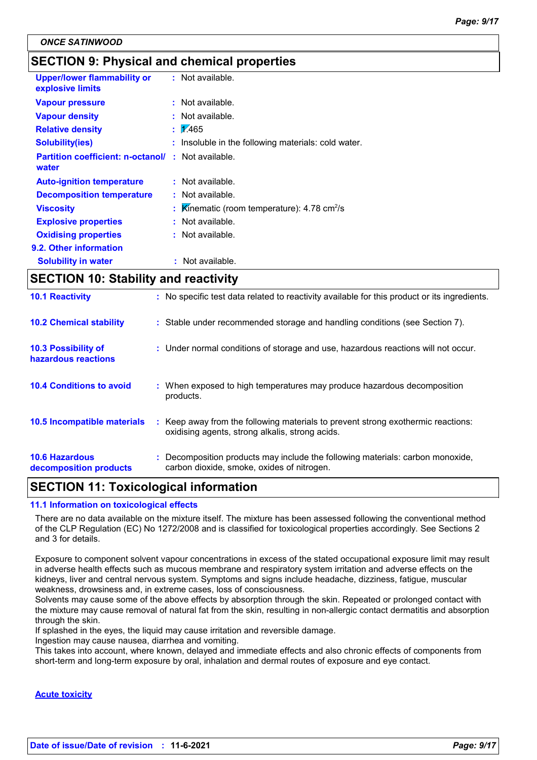## **SECTION 9: Physical and chemical properties**

| <b>Upper/lower flammability or</b><br>explosive limits |    | : Not available.                                           |
|--------------------------------------------------------|----|------------------------------------------------------------|
| <b>Vapour pressure</b>                                 |    | : Not available.                                           |
| <b>Vapour density</b>                                  |    | Not available.                                             |
| <b>Relative density</b>                                | ÷  | $\sqrt{1.465}$                                             |
| <b>Solubility(ies)</b>                                 |    | : Insoluble in the following materials: cold water.        |
| <b>Partition coefficient: n-octanol/</b><br>water      |    | $\therefore$ Not available.                                |
| <b>Auto-ignition temperature</b>                       |    | : Not available.                                           |
| <b>Decomposition temperature</b>                       |    | : Not available.                                           |
| <b>Viscosity</b>                                       | ÷. | Kinematic (room temperature): $4.78 \text{ cm}^2/\text{s}$ |
| <b>Explosive properties</b>                            |    | $:$ Not available.                                         |
| <b>Oxidising properties</b>                            |    | : Not available.                                           |
| 9.2. Other information                                 |    |                                                            |
| <b>Solubility in water</b>                             |    | Not available.                                             |

## **SECTION 10: Stability and reactivity**

| ____________                                    |                                                                                                                                     |
|-------------------------------------------------|-------------------------------------------------------------------------------------------------------------------------------------|
| <b>10.6 Hazardous</b><br>decomposition products | : Decomposition products may include the following materials: carbon monoxide,<br>carbon dioxide, smoke, oxides of nitrogen.        |
| <b>10.5 Incompatible materials</b>              | : Keep away from the following materials to prevent strong exothermic reactions:<br>oxidising agents, strong alkalis, strong acids. |
| <b>10.4 Conditions to avoid</b>                 | : When exposed to high temperatures may produce hazardous decomposition<br>products.                                                |
| 10.3 Possibility of<br>hazardous reactions      | : Under normal conditions of storage and use, hazardous reactions will not occur.                                                   |
| <b>10.2 Chemical stability</b>                  | : Stable under recommended storage and handling conditions (see Section 7).                                                         |
| <b>10.1 Reactivity</b>                          | : No specific test data related to reactivity available for this product or its ingredients.                                        |

### **SECTION 11: Toxicological information**

### **11.1 Information on toxicological effects**

There are no data available on the mixture itself. The mixture has been assessed following the conventional method of the CLP Regulation (EC) No 1272/2008 and is classified for toxicological properties accordingly. See Sections 2 and 3 for details.

Exposure to component solvent vapour concentrations in excess of the stated occupational exposure limit may result in adverse health effects such as mucous membrane and respiratory system irritation and adverse effects on the kidneys, liver and central nervous system. Symptoms and signs include headache, dizziness, fatigue, muscular weakness, drowsiness and, in extreme cases, loss of consciousness.

Solvents may cause some of the above effects by absorption through the skin. Repeated or prolonged contact with the mixture may cause removal of natural fat from the skin, resulting in non-allergic contact dermatitis and absorption through the skin.

If splashed in the eyes, the liquid may cause irritation and reversible damage.

Ingestion may cause nausea, diarrhea and vomiting.

This takes into account, where known, delayed and immediate effects and also chronic effects of components from short-term and long-term exposure by oral, inhalation and dermal routes of exposure and eye contact.

### **Acute toxicity**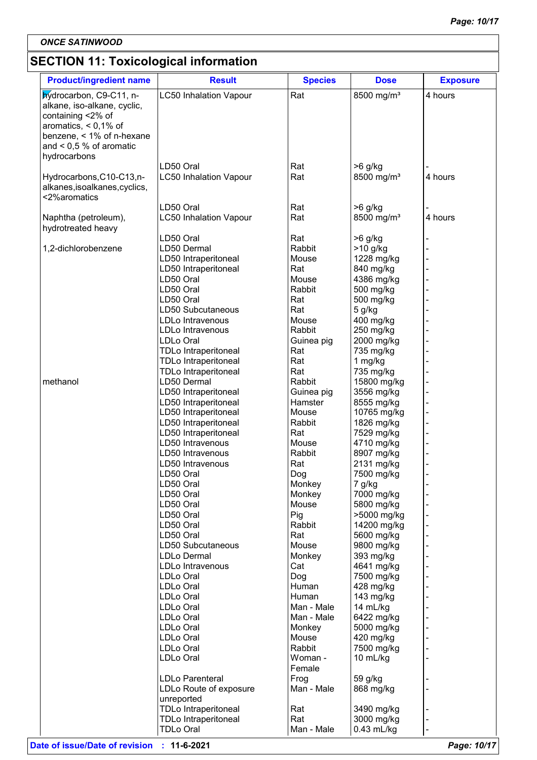## **SECTION 11: Toxicological information**

| <b>Product/ingredient name</b>                                                    | <b>Result</b>                              | <b>Species</b>            | <b>Dose</b>                | <b>Exposure</b> |
|-----------------------------------------------------------------------------------|--------------------------------------------|---------------------------|----------------------------|-----------------|
| hydrocarbon, C9-C11, n-                                                           | <b>LC50 Inhalation Vapour</b>              | Rat                       | 8500 mg/m <sup>3</sup>     | 4 hours         |
| alkane, iso-alkane, cyclic,<br>containing <2% of                                  |                                            |                           |                            |                 |
| aromatics, $< 0.1\%$ of<br>benzene, < 1% of n-hexane<br>and $< 0.5$ % of aromatic |                                            |                           |                            |                 |
| hydrocarbons                                                                      |                                            |                           |                            |                 |
|                                                                                   | LD50 Oral                                  | Rat                       | $>6$ g/kg                  |                 |
| Hydrocarbons, C10-C13, n-<br>alkanes, isoalkanes, cyclics,<br><2%aromatics        | <b>LC50 Inhalation Vapour</b>              | Rat                       | 8500 mg/m <sup>3</sup>     | 4 hours         |
|                                                                                   | LD50 Oral                                  | Rat                       | $>6$ g/kg                  |                 |
| Naphtha (petroleum),<br>hydrotreated heavy                                        | <b>LC50 Inhalation Vapour</b>              | Rat                       | 8500 mg/m <sup>3</sup>     | 4 hours         |
| 1,2-dichlorobenzene                                                               | LD50 Oral<br>LD50 Dermal                   | Rat<br>Rabbit             | >6 g/kg<br>$>10$ g/kg      |                 |
|                                                                                   | LD50 Intraperitoneal                       | Mouse                     | 1228 mg/kg                 |                 |
|                                                                                   | LD50 Intraperitoneal                       | Rat                       | 840 mg/kg                  |                 |
|                                                                                   | LD50 Oral                                  | Mouse                     | 4386 mg/kg                 |                 |
|                                                                                   | LD50 Oral                                  | Rabbit                    | 500 mg/kg                  |                 |
|                                                                                   | LD50 Oral                                  | Rat                       | 500 mg/kg                  |                 |
|                                                                                   | LD50 Subcutaneous                          | Rat                       | 5 g/kg                     |                 |
|                                                                                   | LDLo Intravenous                           | Mouse                     | 400 mg/kg                  |                 |
|                                                                                   | LDLo Intravenous                           | Rabbit                    | 250 mg/kg                  |                 |
|                                                                                   | LDLo Oral                                  | Guinea pig                | 2000 mg/kg                 |                 |
|                                                                                   | <b>TDLo Intraperitoneal</b>                | Rat                       | 735 mg/kg                  |                 |
|                                                                                   | <b>TDLo Intraperitoneal</b>                | Rat                       | 1 mg/kg                    |                 |
| methanol                                                                          | <b>TDLo Intraperitoneal</b><br>LD50 Dermal | Rat<br>Rabbit             | 735 mg/kg<br>15800 mg/kg   |                 |
|                                                                                   | LD50 Intraperitoneal                       | Guinea pig                | 3556 mg/kg                 |                 |
|                                                                                   | LD50 Intraperitoneal                       | Hamster                   | 8555 mg/kg                 |                 |
|                                                                                   | LD50 Intraperitoneal                       | Mouse                     | 10765 mg/kg                |                 |
|                                                                                   | LD50 Intraperitoneal                       | Rabbit                    | 1826 mg/kg                 |                 |
|                                                                                   | LD50 Intraperitoneal                       | Rat                       | 7529 mg/kg                 |                 |
|                                                                                   | LD50 Intravenous                           | Mouse                     | 4710 mg/kg                 |                 |
|                                                                                   | LD50 Intravenous                           | Rabbit                    | 8907 mg/kg                 |                 |
|                                                                                   | LD50 Intravenous                           | Rat                       | 2131 mg/kg                 |                 |
|                                                                                   | LD50 Oral                                  | Dog                       | 7500 mg/kg                 |                 |
|                                                                                   | LD50 Oral                                  | Monkey                    | 7 g/kg                     |                 |
|                                                                                   | LD50 Oral                                  | Monkey                    | 7000 mg/kg                 |                 |
|                                                                                   | LD50 Oral                                  | Mouse                     | 5800 mg/kg                 |                 |
|                                                                                   | LD50 Oral<br>LD50 Oral                     | Pig<br>Rabbit             | >5000 mg/kg<br>14200 mg/kg |                 |
|                                                                                   | LD50 Oral                                  | Rat                       | 5600 mg/kg                 |                 |
|                                                                                   | LD50 Subcutaneous                          | Mouse                     | 9800 mg/kg                 |                 |
|                                                                                   | <b>LDLo Dermal</b>                         | Monkey                    | 393 mg/kg                  |                 |
|                                                                                   | LDLo Intravenous                           | Cat                       | 4641 mg/kg                 |                 |
|                                                                                   | LDLo Oral                                  | Dog                       | 7500 mg/kg                 |                 |
|                                                                                   | LDLo Oral                                  | Human                     | 428 mg/kg                  |                 |
|                                                                                   | LDLo Oral                                  | Human                     | 143 mg/kg                  |                 |
|                                                                                   | LDLo Oral                                  | Man - Male                | 14 mL/kg                   |                 |
|                                                                                   | LDLo Oral                                  | Man - Male                | 6422 mg/kg                 |                 |
|                                                                                   | LDLo Oral                                  | Monkey                    | 5000 mg/kg                 |                 |
|                                                                                   | LDLo Oral                                  | Mouse                     | 420 mg/kg                  |                 |
|                                                                                   | LDLo Oral                                  | Rabbit                    | 7500 mg/kg                 |                 |
|                                                                                   | LDLo Oral<br><b>LDLo Parenteral</b>        | Woman -<br>Female<br>Frog | 10 mL/kg<br>59 g/kg        |                 |
|                                                                                   | LDLo Route of exposure                     | Man - Male                | 868 mg/kg                  |                 |
|                                                                                   | unreported                                 |                           |                            |                 |
|                                                                                   | <b>TDLo Intraperitoneal</b>                | Rat                       | 3490 mg/kg                 |                 |
|                                                                                   | <b>TDLo Intraperitoneal</b>                | Rat                       | 3000 mg/kg                 |                 |
|                                                                                   | <b>TDLo Oral</b>                           | Man - Male                | 0.43 mL/kg                 |                 |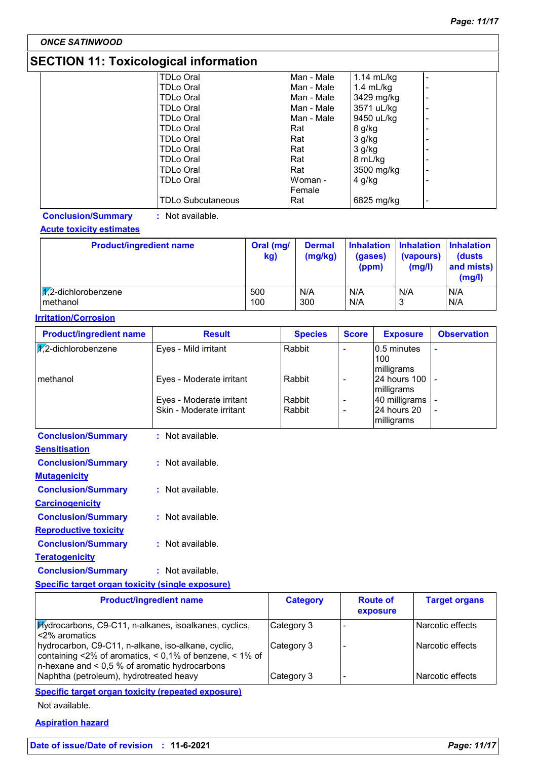*ONCE SATINWOOD*

## **SECTION 11: Toxicological information**

| <b>TDLo Oral</b>         | Man - Male   | 1.14 $mL/kg$ |   |
|--------------------------|--------------|--------------|---|
| TDLo Oral                | Man - Male   | 1.4 $mL/kg$  |   |
| TDLo Oral                | l Man - Male | 3429 mg/kg   |   |
| TDLo Oral                | l Man - Male | 3571 uL/kg   | ۰ |
| TDLo Oral                | Man - Male   | 9450 uL/kg   |   |
| TDLo Oral                | Rat          | 8 g/kg       |   |
| TDLo Oral                | Rat          | 3 g/kg       | ۰ |
| TDLo Oral                | Rat          | 3 g/kg       |   |
| TDLo Oral                | Rat          | 8 mL/kg      |   |
| TDLo Oral                | Rat          | 3500 mg/kg   |   |
| TDLo Oral                | Woman -      | 4 g/kg       |   |
|                          | Female       |              |   |
| <b>TDLo Subcutaneous</b> | Rat          | 6825 mg/kg   | ٠ |

**Conclusion/Summary :** Not available.

### **Acute toxicity estimates**

| Oral (mg/<br>kg) | <b>Dermal</b><br>(mg/kg) | (gases)<br>(ppm) | (vapours)<br>(mg/l) | <b>(dusts)</b><br>and mists)<br>(mg/l)     |
|------------------|--------------------------|------------------|---------------------|--------------------------------------------|
| 500              | N/A                      | N/A              | N/A                 | N/A<br>N/A                                 |
|                  | 100                      | 300              | N/A                 | Inhalation   Inhalation   Inhalation<br>C, |

### **Irritation/Corrosion**

| <b>Product/ingredient name</b> | <b>Result</b>                                        | <b>Species</b>   | <b>Score</b>             | <b>Exposure</b>                              | <b>Observation</b> |
|--------------------------------|------------------------------------------------------|------------------|--------------------------|----------------------------------------------|--------------------|
| $\sqrt{2}$ -dichlorobenzene    | Eyes - Mild irritant                                 | Rabbit           | $\overline{\phantom{0}}$ | 0.5 minutes<br>100<br>milligrams             |                    |
| methanol                       | Eyes - Moderate irritant                             | Rabbit           |                          | 24 hours 100 -<br>milligrams                 |                    |
|                                | Eyes - Moderate irritant<br>Skin - Moderate irritant | Rabbit<br>Rabbit | ٠                        | 40 milligrams -<br>24 hours 20<br>milligrams |                    |
| <b>Conclusion/Summary</b>      | Not available.                                       |                  |                          |                                              |                    |

| <b>Sensitisation</b>         |                    |
|------------------------------|--------------------|
| <b>Conclusion/Summary</b>    | $:$ Not available. |
| <b>Mutagenicity</b>          |                    |
| <b>Conclusion/Summary</b>    | : Not available.   |
| <b>Carcinogenicity</b>       |                    |
| <b>Conclusion/Summary</b>    | $:$ Not available. |
| <b>Reproductive toxicity</b> |                    |
| <b>Conclusion/Summary</b>    | : Not available.   |
| <b>Teratogenicity</b>        |                    |
| <b>Conclusion/Summary</b>    | : Not available.   |
|                              |                    |

### **Specific target organ toxicity (single exposure)**

| <b>Product/ingredient name</b>                                                                                                                                    | <b>Category</b> | <b>Route of</b><br>exposure | <b>Target organs</b> |
|-------------------------------------------------------------------------------------------------------------------------------------------------------------------|-----------------|-----------------------------|----------------------|
| <b>Hydrocarbons, C9-C11, n-alkanes, isoalkanes, cyclics,</b><br>l<2% aromatics                                                                                    | Category 3      |                             | l Narcotic effects   |
| hydrocarbon, C9-C11, n-alkane, iso-alkane, cyclic,<br>containing <2% of aromatics, < 0,1% of benzene, < 1% of<br>$n$ -hexane and < 0,5 % of aromatic hydrocarbons | Category 3      |                             | Narcotic effects     |
| Naphtha (petroleum), hydrotreated heavy                                                                                                                           | Category 3      |                             | l Narcotic effects   |

**Specific target organ toxicity (repeated exposure)**

### Not available.

### **Aspiration hazard**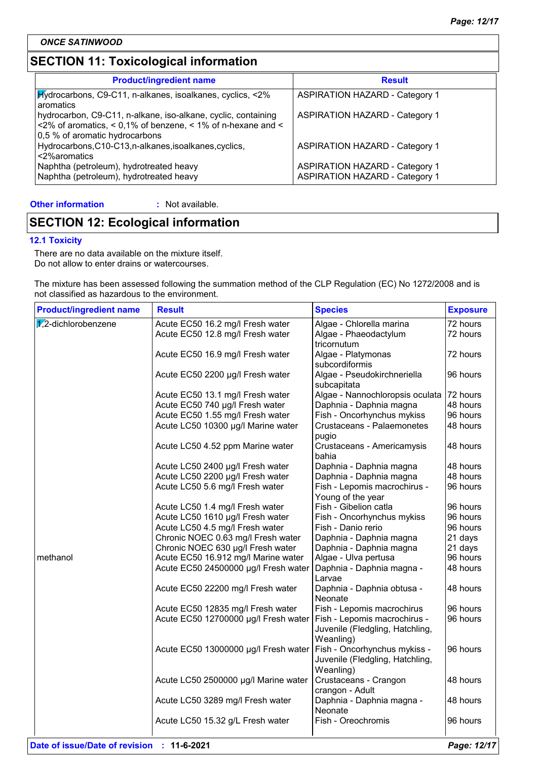## **SECTION 11: Toxicological information**

| <b>Product/ingredient name</b>                                                                                                                                                      | <b>Result</b>                                                                  |
|-------------------------------------------------------------------------------------------------------------------------------------------------------------------------------------|--------------------------------------------------------------------------------|
| <b>Hydrocarbons, C9-C11, n-alkanes, isoalkanes, cyclics, &lt;2%</b><br>aromatics                                                                                                    | <b>ASPIRATION HAZARD - Category 1</b>                                          |
| hydrocarbon, C9-C11, n-alkane, iso-alkane, cyclic, containing<br>$\leq$ 2% of aromatics, $\leq$ 0,1% of benzene, $\leq$ 1% of n-hexane and $\leq$<br>0,5 % of aromatic hydrocarbons | <b>ASPIRATION HAZARD - Category 1</b>                                          |
| Hydrocarbons, C10-C13, n-alkanes, isoalkanes, cyclics,<br><2%aromatics                                                                                                              | <b>ASPIRATION HAZARD - Category 1</b>                                          |
| Naphtha (petroleum), hydrotreated heavy<br>Naphtha (petroleum), hydrotreated heavy                                                                                                  | <b>ASPIRATION HAZARD - Category 1</b><br><b>ASPIRATION HAZARD - Category 1</b> |

**Other information :**

: Not available.

## **SECTION 12: Ecological information**

### **12.1 Toxicity**

There are no data available on the mixture itself. Do not allow to enter drains or watercourses.

The mixture has been assessed following the summation method of the CLP Regulation (EC) No 1272/2008 and is not classified as hazardous to the environment.

| <b>Product/ingredient name</b> | <b>Result</b>                        | <b>Species</b>                                                               | <b>Exposure</b> |
|--------------------------------|--------------------------------------|------------------------------------------------------------------------------|-----------------|
| $\sqrt{2}$ -dichlorobenzene    | Acute EC50 16.2 mg/l Fresh water     | Algae - Chlorella marina                                                     | 72 hours        |
|                                | Acute EC50 12.8 mg/l Fresh water     | Algae - Phaeodactylum                                                        | 72 hours        |
|                                |                                      | tricornutum                                                                  |                 |
|                                | Acute EC50 16.9 mg/l Fresh water     | Algae - Platymonas                                                           | 72 hours        |
|                                |                                      | subcordiformis                                                               |                 |
|                                | Acute EC50 2200 µg/l Fresh water     | Algae - Pseudokirchneriella                                                  | 96 hours        |
|                                |                                      | subcapitata                                                                  |                 |
|                                | Acute EC50 13.1 mg/l Fresh water     | Algae - Nannochloropsis oculata                                              | 72 hours        |
|                                | Acute EC50 740 µg/l Fresh water      | Daphnia - Daphnia magna                                                      | 48 hours        |
|                                | Acute EC50 1.55 mg/l Fresh water     | Fish - Oncorhynchus mykiss                                                   | 96 hours        |
|                                | Acute LC50 10300 µg/l Marine water   | <b>Crustaceans - Palaemonetes</b><br>pugio                                   | 48 hours        |
|                                | Acute LC50 4.52 ppm Marine water     | Crustaceans - Americamysis                                                   | 48 hours        |
|                                |                                      | bahia                                                                        |                 |
|                                | Acute LC50 2400 µg/l Fresh water     | Daphnia - Daphnia magna                                                      | 48 hours        |
|                                | Acute LC50 2200 µg/l Fresh water     | Daphnia - Daphnia magna                                                      | 48 hours        |
|                                | Acute LC50 5.6 mg/l Fresh water      | Fish - Lepomis macrochirus -                                                 | 96 hours        |
|                                |                                      | Young of the year                                                            |                 |
|                                | Acute LC50 1.4 mg/l Fresh water      | Fish - Gibelion catla                                                        | 96 hours        |
|                                | Acute LC50 1610 µg/l Fresh water     | Fish - Oncorhynchus mykiss                                                   | 96 hours        |
|                                | Acute LC50 4.5 mg/l Fresh water      | Fish - Danio rerio                                                           | 96 hours        |
|                                | Chronic NOEC 0.63 mg/l Fresh water   | Daphnia - Daphnia magna                                                      | 21 days         |
|                                | Chronic NOEC 630 µg/l Fresh water    | Daphnia - Daphnia magna                                                      | 21 days         |
| methanol                       | Acute EC50 16.912 mg/l Marine water  | Algae - Ulva pertusa                                                         | 96 hours        |
|                                | Acute EC50 24500000 µg/l Fresh water | Daphnia - Daphnia magna -<br>Larvae                                          | 48 hours        |
|                                | Acute EC50 22200 mg/l Fresh water    | Daphnia - Daphnia obtusa -<br>Neonate                                        | 48 hours        |
|                                | Acute EC50 12835 mg/l Fresh water    | Fish - Lepomis macrochirus                                                   | 96 hours        |
|                                | Acute EC50 12700000 µg/l Fresh water | Fish - Lepomis macrochirus -<br>Juvenile (Fledgling, Hatchling,<br>Weanling) | 96 hours        |
|                                | Acute EC50 13000000 µg/l Fresh water | Fish - Oncorhynchus mykiss -<br>Juvenile (Fledgling, Hatchling,<br>Weanling) | 96 hours        |
|                                | Acute LC50 2500000 µg/l Marine water | Crustaceans - Crangon<br>crangon - Adult                                     | 48 hours        |
|                                | Acute LC50 3289 mg/l Fresh water     | Daphnia - Daphnia magna -<br>Neonate                                         | 48 hours        |
|                                | Acute LC50 15.32 g/L Fresh water     | Fish - Oreochromis                                                           | 96 hours        |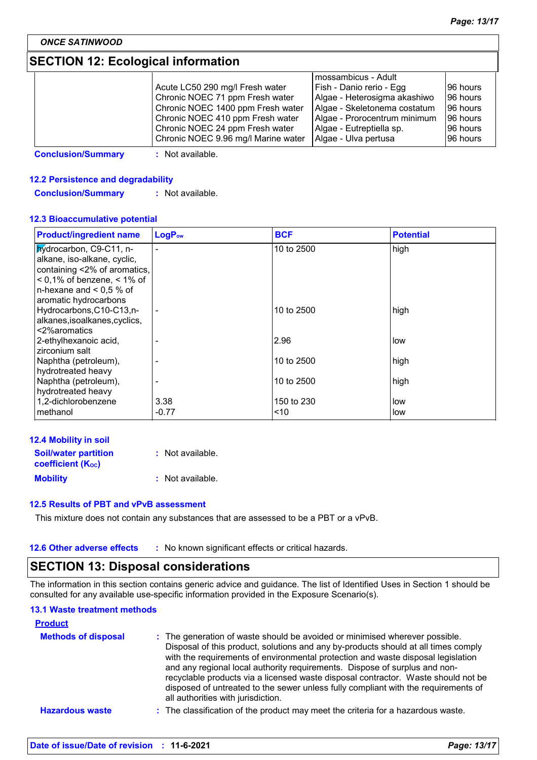## **SECTION 12: Ecological information**

|                                     | l mossambicus - Adult        |           |
|-------------------------------------|------------------------------|-----------|
| Acute LC50 290 mg/l Fresh water     | Fish - Danio rerio - Egg     | I96 hours |
| Chronic NOEC 71 ppm Fresh water     | Algae - Heterosigma akashiwo | 96 hours  |
| Chronic NOEC 1400 ppm Fresh water   | Algae - Skeletonema costatum | 96 hours  |
| Chronic NOEC 410 ppm Fresh water    | Algae - Prorocentrum minimum | 96 hours  |
| Chronic NOEC 24 ppm Fresh water     | Algae - Eutreptiella sp.     | I96 hours |
| Chronic NOEC 9.96 mg/l Marine water | Algae - Ulva pertusa         | I96 hours |

**Conclusion/Summary :** Not available.

### **12.2 Persistence and degradability**

**Conclusion/Summary :** Not available.

### **12.3 Bioaccumulative potential**

| <b>Product/ingredient name</b>                                                         | LogP <sub>ow</sub> | <b>BCF</b>        | <b>Potential</b> |
|----------------------------------------------------------------------------------------|--------------------|-------------------|------------------|
| hydrocarbon, C9-C11, n-<br>alkane, iso-alkane, cyclic,<br>containing <2% of aromatics, |                    | 10 to 2500        | high             |
| $0.1\%$ of benzene, $0.1\%$ of<br>n-hexane and $< 0.5$ % of<br>aromatic hydrocarbons   |                    |                   |                  |
| Hydrocarbons, C10-C13, n-<br>alkanes, isoalkanes, cyclics,                             |                    | 10 to 2500        | high             |
| <2%aromatics<br>2-ethylhexanoic acid,<br>zirconium salt                                |                    | 2.96              | low              |
| Naphtha (petroleum),<br>hydrotreated heavy                                             |                    | 10 to 2500        | high             |
| Naphtha (petroleum),<br>hydrotreated heavy                                             |                    | 10 to 2500        | high             |
| 1,2-dichlorobenzene<br>methanol                                                        | 3.38<br>$-0.77$    | 150 to 230<br><10 | low<br>low       |

| <b>12.4 Mobility in soil</b> |                  |
|------------------------------|------------------|
| <b>Soil/water partition</b>  | : Not available. |
| <b>coefficient (Koc)</b>     |                  |
| <b>Mobility</b>              | : Not available. |

### **12.5 Results of PBT and vPvB assessment**

This mixture does not contain any substances that are assessed to be a PBT or a vPvB.

### **12.6 Other adverse effects** : No known significant effects or critical hazards.

### **SECTION 13: Disposal considerations**

The information in this section contains generic advice and guidance. The list of Identified Uses in Section 1 should be consulted for any available use-specific information provided in the Exposure Scenario(s).

#### **13.1 Waste treatment methods**

| <b>Product</b>             |                                                                                                                                                                                                                                                                                                                                                                                                                                                                                                                                                      |
|----------------------------|------------------------------------------------------------------------------------------------------------------------------------------------------------------------------------------------------------------------------------------------------------------------------------------------------------------------------------------------------------------------------------------------------------------------------------------------------------------------------------------------------------------------------------------------------|
| <b>Methods of disposal</b> | : The generation of waste should be avoided or minimised wherever possible.<br>Disposal of this product, solutions and any by-products should at all times comply<br>with the requirements of environmental protection and waste disposal legislation<br>and any regional local authority requirements. Dispose of surplus and non-<br>recyclable products via a licensed waste disposal contractor. Waste should not be<br>disposed of untreated to the sewer unless fully compliant with the requirements of<br>all authorities with jurisdiction. |
| <b>Hazardous waste</b>     | : The classification of the product may meet the criteria for a hazardous waste.                                                                                                                                                                                                                                                                                                                                                                                                                                                                     |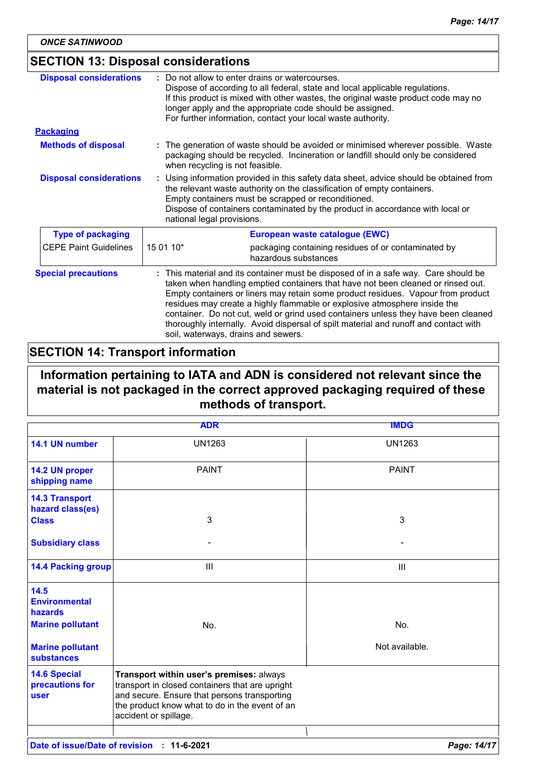## **SECTION 13: Disposal considerations**

| <b>Disposal considerations</b> | Do not allow to enter drains or watercourses.<br>Dispose of according to all federal, state and local applicable regulations.<br>If this product is mixed with other wastes, the original waste product code may no<br>longer apply and the appropriate code should be assigned.<br>For further information, contact your local waste authority.                                                                                                                                                                                                            |  |
|--------------------------------|-------------------------------------------------------------------------------------------------------------------------------------------------------------------------------------------------------------------------------------------------------------------------------------------------------------------------------------------------------------------------------------------------------------------------------------------------------------------------------------------------------------------------------------------------------------|--|
| <b>Packaging</b>               |                                                                                                                                                                                                                                                                                                                                                                                                                                                                                                                                                             |  |
| <b>Methods of disposal</b>     | The generation of waste should be avoided or minimised wherever possible. Waste<br>packaging should be recycled. Incineration or landfill should only be considered<br>when recycling is not feasible.                                                                                                                                                                                                                                                                                                                                                      |  |
| <b>Disposal considerations</b> | Using information provided in this safety data sheet, advice should be obtained from<br>the relevant waste authority on the classification of empty containers.<br>Empty containers must be scrapped or reconditioned.<br>Dispose of containers contaminated by the product in accordance with local or<br>national legal provisions.                                                                                                                                                                                                                       |  |
| <b>Type of packaging</b>       | European waste catalogue (EWC)                                                                                                                                                                                                                                                                                                                                                                                                                                                                                                                              |  |
| <b>CEPE Paint Guidelines</b>   | 15 01 10*<br>packaging containing residues of or contaminated by<br>hazardous substances                                                                                                                                                                                                                                                                                                                                                                                                                                                                    |  |
| <b>Special precautions</b>     | This material and its container must be disposed of in a safe way. Care should be<br>taken when handling emptied containers that have not been cleaned or rinsed out.<br>Empty containers or liners may retain some product residues. Vapour from product<br>residues may create a highly flammable or explosive atmosphere inside the<br>container. Do not cut, weld or grind used containers unless they have been cleaned<br>thoroughly internally. Avoid dispersal of spilt material and runoff and contact with<br>soil, waterways, drains and sewers. |  |

## **SECTION 14: Transport information**

## **Information pertaining to IATA and ADN is considered not relevant since the material is not packaged in the correct approved packaging required of these methods of transport.**

|                                                                         | <b>ADR</b>                                                                                                                                                                                                             | <b>IMDG</b>    |  |
|-------------------------------------------------------------------------|------------------------------------------------------------------------------------------------------------------------------------------------------------------------------------------------------------------------|----------------|--|
| 14.1 UN number                                                          | <b>UN1263</b>                                                                                                                                                                                                          | <b>UN1263</b>  |  |
| 14.2 UN proper<br>shipping name                                         | <b>PAINT</b>                                                                                                                                                                                                           | <b>PAINT</b>   |  |
| <b>14.3 Transport</b><br>hazard class(es)<br><b>Class</b>               | 3                                                                                                                                                                                                                      | 3              |  |
| <b>Subsidiary class</b>                                                 |                                                                                                                                                                                                                        |                |  |
| <b>14.4 Packing group</b>                                               | III                                                                                                                                                                                                                    | $\mathbf{III}$ |  |
| 14.5<br><b>Environmental</b><br>hazards                                 |                                                                                                                                                                                                                        | No.            |  |
| <b>Marine pollutant</b><br><b>Marine pollutant</b><br><b>substances</b> | No.                                                                                                                                                                                                                    | Not available. |  |
| <b>14.6 Special</b><br>precautions for<br><b>user</b>                   | Transport within user's premises: always<br>transport in closed containers that are upright<br>and secure. Ensure that persons transporting<br>the product know what to do in the event of an<br>accident or spillage. |                |  |
|                                                                         | Date of issue/Date of revision : 11-6-2021                                                                                                                                                                             | Page: 14/17    |  |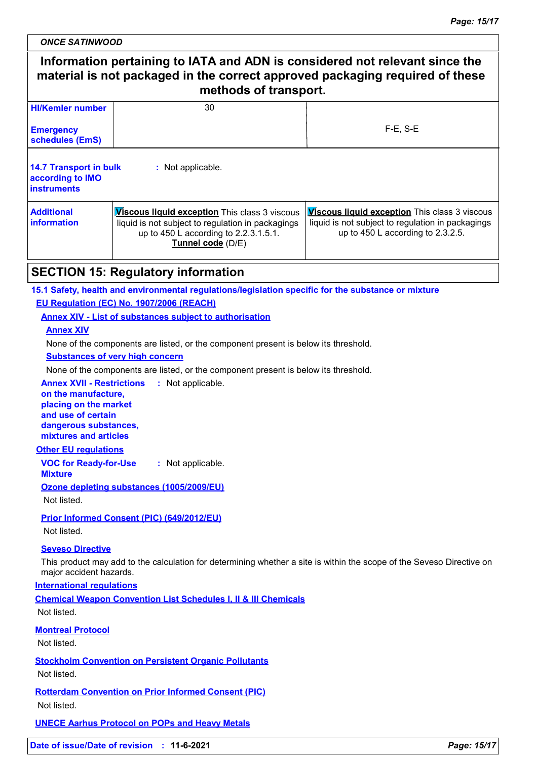$\overline{\phantom{0}}$ 

 *ONCE SATINWOOD*

| <b>ONCE SATINWOOD</b>                                                                                                                                                                |                                                                                                                                                                         |                                                                                                                                                |
|--------------------------------------------------------------------------------------------------------------------------------------------------------------------------------------|-------------------------------------------------------------------------------------------------------------------------------------------------------------------------|------------------------------------------------------------------------------------------------------------------------------------------------|
| Information pertaining to IATA and ADN is considered not relevant since the<br>material is not packaged in the correct approved packaging required of these<br>methods of transport. |                                                                                                                                                                         |                                                                                                                                                |
| <b>HI/Kemler number</b>                                                                                                                                                              | 30                                                                                                                                                                      |                                                                                                                                                |
| <b>Emergency</b><br>schedules (EmS)                                                                                                                                                  |                                                                                                                                                                         | $F-E$ , S-E                                                                                                                                    |
| <b>14.7 Transport in bulk</b><br>according to IMO<br><b>instruments</b>                                                                                                              | : Not applicable.                                                                                                                                                       |                                                                                                                                                |
| <b>Additional</b><br><b>information</b>                                                                                                                                              | <b>Viscous liquid exception</b> This class 3 viscous<br>liquid is not subject to regulation in packagings<br>up to 450 L according to 2.2.3.1.5.1.<br>Tunnel code (D/E) | <b>Viscous liquid exception</b> This class 3 viscous<br>liquid is not subject to regulation in packagings<br>up to 450 L according to 2.3.2.5. |
|                                                                                                                                                                                      | <b>SECTION 15: Regulatory information</b>                                                                                                                               |                                                                                                                                                |
|                                                                                                                                                                                      | 15.1 Safety, health and environmental regulations/legislation specific for the substance or mixture                                                                     |                                                                                                                                                |
|                                                                                                                                                                                      | EU Regulation (EC) No. 1907/2006 (REACH)                                                                                                                                |                                                                                                                                                |
|                                                                                                                                                                                      | <b>Annex XIV - List of substances subject to authorisation</b>                                                                                                          |                                                                                                                                                |
| <b>Annex XIV</b>                                                                                                                                                                     |                                                                                                                                                                         |                                                                                                                                                |
|                                                                                                                                                                                      | None of the components are listed, or the component present is below its threshold.                                                                                     |                                                                                                                                                |
|                                                                                                                                                                                      | <b>Substances of very high concern</b><br>None of the components are listed, or the component present is below its threshold.                                           |                                                                                                                                                |
| <b>Annex XVII - Restrictions</b><br>on the manufacture,<br>placing on the market<br>and use of certain<br>dangerous substances,<br>mixtures and articles                             | : Not applicable.                                                                                                                                                       |                                                                                                                                                |
| <b>Other EU requlations</b><br><b>VOC for Ready-for-Use</b>                                                                                                                          | : Not applicable.                                                                                                                                                       |                                                                                                                                                |
| <b>Mixture</b>                                                                                                                                                                       |                                                                                                                                                                         |                                                                                                                                                |
|                                                                                                                                                                                      | Ozone depleting substances (1005/2009/EU)                                                                                                                               |                                                                                                                                                |
| Not listed.                                                                                                                                                                          |                                                                                                                                                                         |                                                                                                                                                |
| Not listed.                                                                                                                                                                          | Prior Informed Consent (PIC) (649/2012/EU)                                                                                                                              |                                                                                                                                                |
| <b>Seveso Directive</b>                                                                                                                                                              |                                                                                                                                                                         |                                                                                                                                                |
| major accident hazards.                                                                                                                                                              | This product may add to the calculation for determining whether a site is within the scope of the Seveso Directive on                                                   |                                                                                                                                                |
| <b>International regulations</b>                                                                                                                                                     |                                                                                                                                                                         |                                                                                                                                                |
| Not listed.                                                                                                                                                                          | <b>Chemical Weapon Convention List Schedules I, II &amp; III Chemicals</b>                                                                                              |                                                                                                                                                |
| <b>Montreal Protocol</b><br>Not listed.                                                                                                                                              |                                                                                                                                                                         |                                                                                                                                                |
| Not listed.                                                                                                                                                                          | <b>Stockholm Convention on Persistent Organic Pollutants</b>                                                                                                            |                                                                                                                                                |
| Not listed.                                                                                                                                                                          | <b>Rotterdam Convention on Prior Informed Consent (PIC)</b>                                                                                                             |                                                                                                                                                |

**UNECE Aarhus Protocol on POPs and Heavy Metals**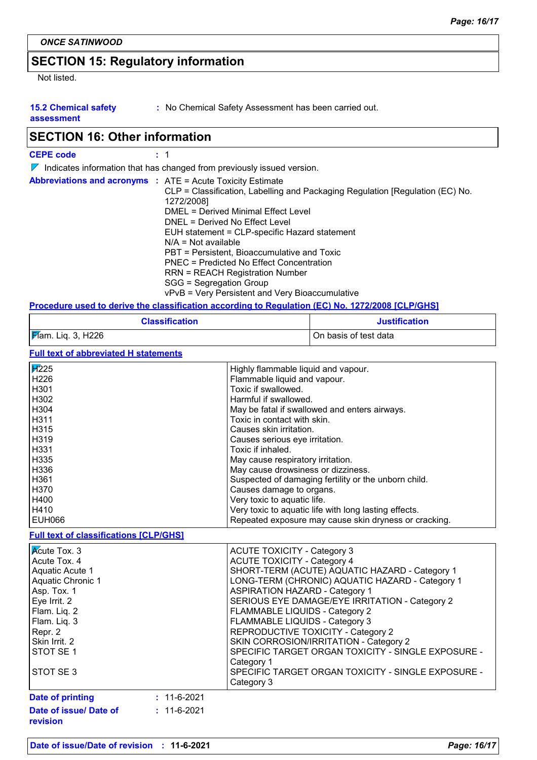## **SECTION 15: Regulatory information**

Not listed.

**15.2 Chemical safety** 

**:** No Chemical Safety Assessment has been carried out.

**assessment**

## **SECTION 16: Other information**

 $\nabla$  Indicates information that has changed from previously issued version.

|  | <b>Abbreviations and acronyms : ATE = Acute Toxicity Estimate</b>             |
|--|-------------------------------------------------------------------------------|
|  | CLP = Classification, Labelling and Packaging Regulation [Regulation (EC) No. |
|  | 1272/2008]                                                                    |
|  | DMEL = Derived Minimal Effect Level                                           |
|  | DNEL = Derived No Effect Level                                                |
|  | EUH statement = CLP-specific Hazard statement                                 |
|  | $N/A = Not available$                                                         |
|  | PBT = Persistent, Bioaccumulative and Toxic                                   |
|  | PNEC = Predicted No Effect Concentration                                      |
|  | RRN = REACH Registration Number                                               |
|  | SGG = Segregation Group                                                       |
|  | vPvB = Very Persistent and Very Bioaccumulative                               |
|  |                                                                               |

**Procedure used to derive the classification according to Regulation (EC) No. 1272/2008 [CLP/GHS]**

| <b>Classification</b>          | <b>Justification</b>  |
|--------------------------------|-----------------------|
| $\mathcal{F}$ am. Liq. 3, H226 | On basis of test data |

**Full text of abbreviated H statements**

| $\cancel{H}225$  | Highly flammable liquid and vapour.                   |
|------------------|-------------------------------------------------------|
| H <sub>226</sub> | Flammable liquid and vapour.                          |
| H <sub>301</sub> | Toxic if swallowed.                                   |
| H302             | Harmful if swallowed.                                 |
| H304             | May be fatal if swallowed and enters airways.         |
| H311             | Toxic in contact with skin.                           |
| H315             | Causes skin irritation.                               |
| H319             | Causes serious eye irritation.                        |
| H331 H           | Toxic if inhaled.                                     |
| H335             | May cause respiratory irritation.                     |
| H336             | May cause drowsiness or dizziness.                    |
| H361             | Suspected of damaging fertility or the unborn child.  |
| H370             | Causes damage to organs.                              |
| H400             | Very toxic to aquatic life.                           |
| H410             | Very toxic to aquatic life with long lasting effects. |
| EUH066           | Repeated exposure may cause skin dryness or cracking. |

#### **Full text of classifications [CLP/GHS]**

| Date of issue/ Date of<br>revision | $: 11 - 6 - 2021$ |                                                                                |  |
|------------------------------------|-------------------|--------------------------------------------------------------------------------|--|
| <b>Date of printing</b>            | $: 11 - 6 - 2021$ |                                                                                |  |
| STOT SE3                           |                   | Category 1<br>SPECIFIC TARGET ORGAN TOXICITY - SINGLE EXPOSURE -<br>Category 3 |  |
| STOT SE 1                          |                   | SPECIFIC TARGET ORGAN TOXICITY - SINGLE EXPOSURE -                             |  |
| Skin Irrit. 2                      |                   | SKIN CORROSION/IRRITATION - Category 2                                         |  |
| Repr. 2                            |                   | REPRODUCTIVE TOXICITY - Category 2                                             |  |
| Flam. Liq. 3                       |                   | FLAMMABLE LIQUIDS - Category 3                                                 |  |
| Flam. Liq. 2                       |                   | FLAMMABLE LIQUIDS - Category 2                                                 |  |
| Eye Irrit. 2                       |                   | SERIOUS EYE DAMAGE/EYE IRRITATION - Category 2                                 |  |
| Asp. Tox. 1                        |                   | <b>ASPIRATION HAZARD - Category 1</b>                                          |  |
| Aquatic Chronic 1                  |                   | LONG-TERM (CHRONIC) AQUATIC HAZARD - Category 1                                |  |
| Aquatic Acute 1                    |                   | SHORT-TERM (ACUTE) AQUATIC HAZARD - Category 1                                 |  |
| Acute Tox, 4                       |                   | <b>ACUTE TOXICITY - Category 4</b>                                             |  |
| $\sqrt{\mathsf{AC}}$ ute Tox. 3    |                   | <b>ACUTE TOXICITY - Category 3</b>                                             |  |